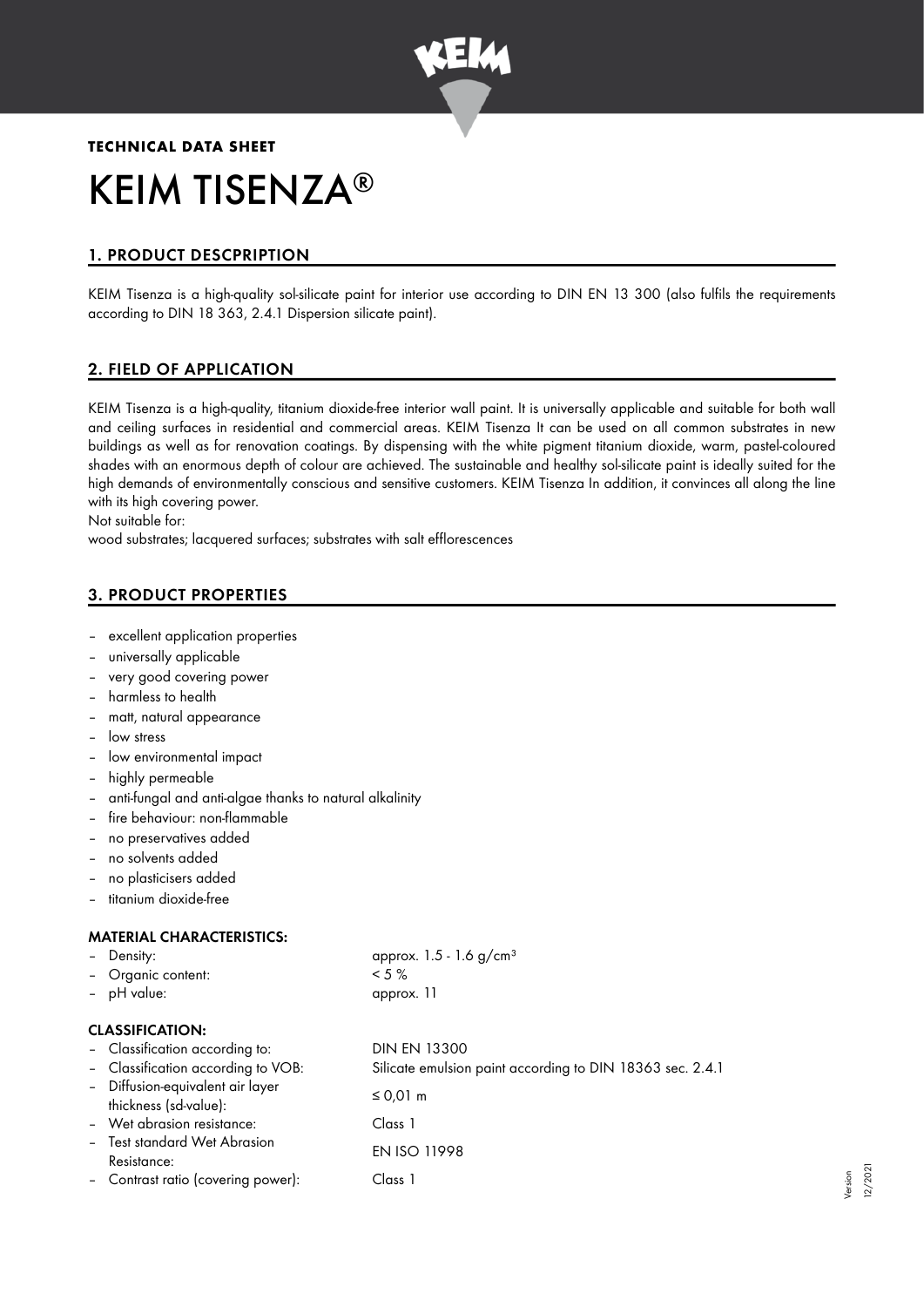

# **TECHNICAL DATA SHEET** KEIM TISENZA ®

# 1. PRODUCT DESCPRIPTION

KEIM Tisenza is a high-quality sol-silicate paint for interior use according to DIN EN 13 300 (also fulfils the requirements according to DIN 18 363, 2.4.1 Dispersion silicate paint).

# 2. FIELD OF APPLICATION

KEIM Tisenza is a high-quality, titanium dioxide-free interior wall paint. It is universally applicable and suitable for both wall and ceiling surfaces in residential and commercial areas. KEIM Tisenza It can be used on all common substrates in new buildings as well as for renovation coatings. By dispensing with the white pigment titanium dioxide, warm, pastel-coloured shades with an enormous depth of colour are achieved. The sustainable and healthy sol-silicate paint is ideally suited for the high demands of environmentally conscious and sensitive customers. KEIM Tisenza In addition, it convinces all along the line with its high covering power.

Not suitable for:

wood substrates; lacquered surfaces; substrates with salt efflorescences

# 3. PRODUCT PROPERTIES

- excellent application properties
- universally applicable
- very good covering power
- harmless to health
- matt, natural appearance
- low stress
- low environmental impact
- highly permeable
- anti-fungal and anti-algae thanks to natural alkalinity
- fire behaviour: non-flammable
- no preservatives added
- no solvents added
- no plasticisers added
- titanium dioxide-free

#### MATERIAL CHARACTERISTICS:

| Density: |  |
|----------|--|
|          |  |

- Organic content: < 5 %
- pH value: approx. 11

approx.  $1.5 - 1.6$  g/cm<sup>3</sup>

#### CLASSIFICATION:

| - Classification according to:<br>- Classification according to VOB: | <b>DIN EN 13300</b><br>Silicate emulsion paint according to DIN 18363 sec. 2.4.1 |
|----------------------------------------------------------------------|----------------------------------------------------------------------------------|
| - Diffusion-equivalent air layer<br>thickness (sd-value):            | ≤ 0,01 m                                                                         |
| - Wet abrasion resistance:                                           | Class 1                                                                          |
| - Test standard Wet Abrasion<br>Resistance:                          | <b>EN ISO 11998</b>                                                              |
| - Contrast ratio (covering power):                                   | Class 1                                                                          |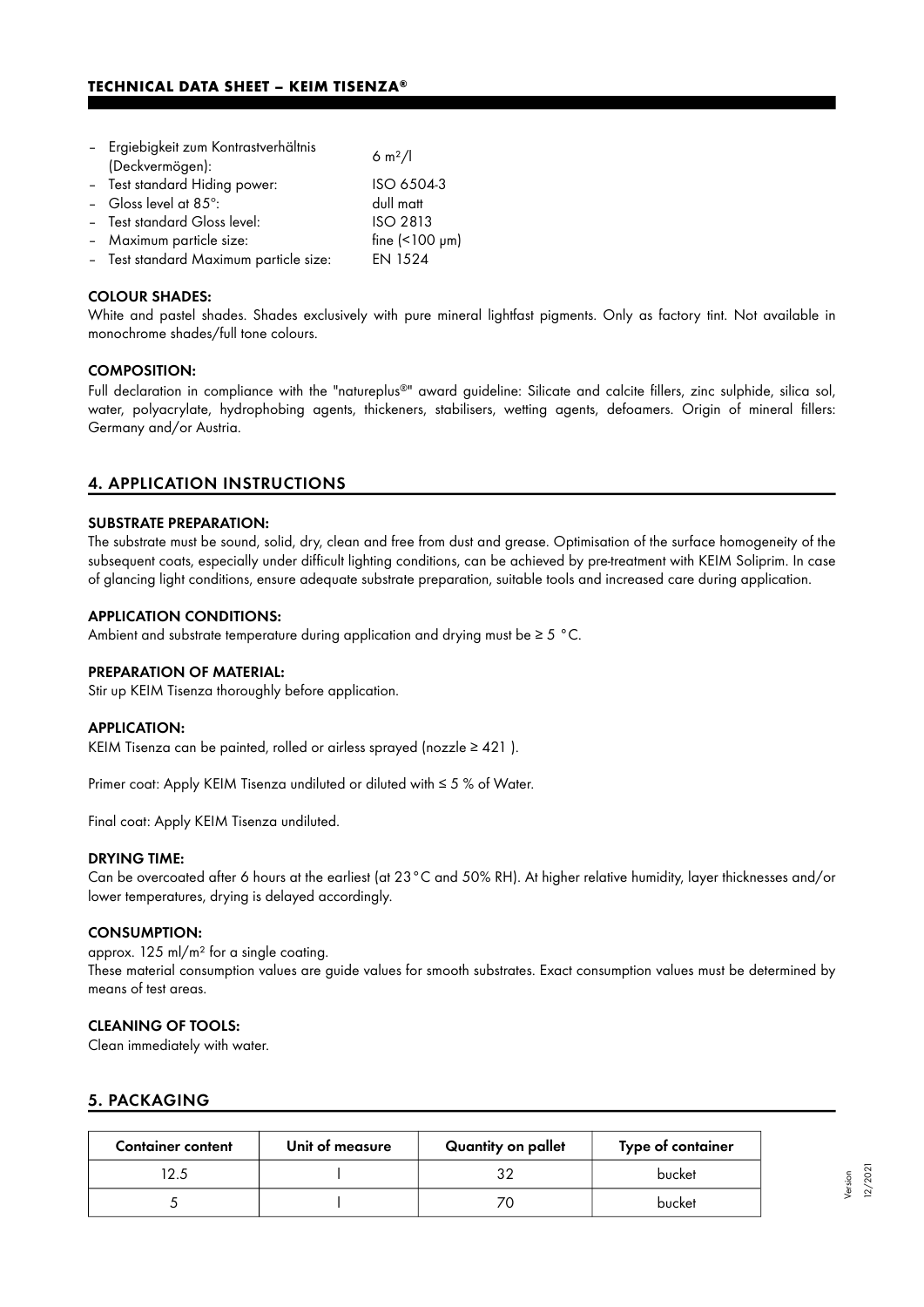| - Ergiebigkeit zum Kontrastverhältnis  | 6 m <sup>2</sup> /l       |  |
|----------------------------------------|---------------------------|--|
| (Deckvermögen):                        |                           |  |
| - Test standard Hiding power:          | ISO 6504-3                |  |
| - Gloss level at 85°:                  | dull matt                 |  |
| - Test standard Gloss level:           | <b>ISO 2813</b>           |  |
| - Maximum particle size:               | fine $($ <100 $\mu$ m $)$ |  |
| - Test standard Maximum particle size: | <b>EN 1524</b>            |  |

#### COLOUR SHADES:

White and pastel shades. Shades exclusively with pure mineral lightfast pigments. Only as factory tint. Not available in monochrome shades/full tone colours.

#### COMPOSITION:

Full declaration in compliance with the "natureplus®" award guideline: Silicate and calcite fillers, zinc sulphide, silica sol, water, polyacrylate, hydrophobing agents, thickeners, stabilisers, wetting agents, defoamers. Origin of mineral fillers: Germany and/or Austria.

#### 4. APPLICATION INSTRUCTIONS

#### SUBSTRATE PREPARATION:

The substrate must be sound, solid, dry, clean and free from dust and grease. Optimisation of the surface homogeneity of the subsequent coats, especially under difficult lighting conditions, can be achieved by pre-treatment with KEIM Soliprim. In case of glancing light conditions, ensure adequate substrate preparation, suitable tools and increased care during application.

#### APPLICATION CONDITIONS:

Ambient and substrate temperature during application and drying must be ≥ 5 °C.

#### PREPARATION OF MATERIAL:

Stir up KEIM Tisenza thoroughly before application.

#### APPLICATION:

KEIM Tisenza can be painted, rolled or airless sprayed (nozzle ≥ 421 ).

Primer coat: Apply KEIM Tisenza undiluted or diluted with ≤ 5 % of Water.

Final coat: Apply KEIM Tisenza undiluted.

#### DRYING TIME:

Can be overcoated after 6 hours at the earliest (at 23°C and 50% RH). At higher relative humidity, layer thicknesses and/or lower temperatures, drying is delayed accordingly.

#### CONSUMPTION:

approx. 125 ml/m² for a single coating. These material consumption values are guide values for smooth substrates. Exact consumption values must be determined by means of test areas.

#### CLEANING OF TOOLS:

Clean immediately with water.

#### 5. PACKAGING

| <b>Container content</b> | Unit of measure | Quantity on pallet | Type of container |
|--------------------------|-----------------|--------------------|-------------------|
| 2.5                      |                 | つつ                 | bucket            |
|                          |                 |                    | bucket            |